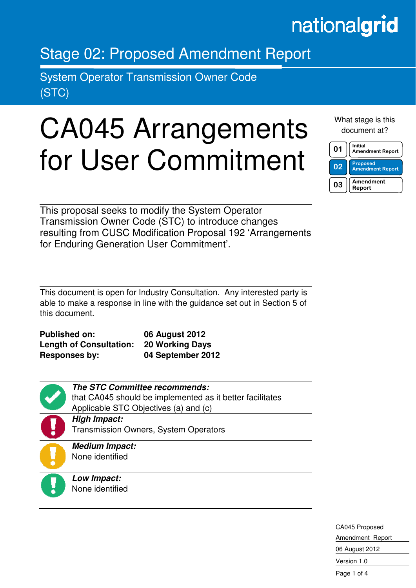## nationalgrid

### Stage 02: Proposed Amendment Report

System Operator Transmission Owner Code (STC)

i

# CA045 Arrangements for User Commitment

What stage is this document at?

| በ1             | Initial<br><b>Amendment Report</b>         |
|----------------|--------------------------------------------|
| 0 <sup>2</sup> | <b>Proposed</b><br><b>Amendment Report</b> |
| 03             | Amendment<br>Report                        |

This proposal seeks to modify the System Operator Transmission Owner Code (STC) to introduce changes resulting from CUSC Modification Proposal 192 'Arrangements for Enduring Generation User Commitment'.

This document is open for Industry Consultation. Any interested party is able to make a response in line with the guidance set out in Section 5 of this document.

| <b>Published on:</b>           | 06 August 2012         |
|--------------------------------|------------------------|
| <b>Length of Consultation:</b> | <b>20 Working Days</b> |
| <b>Responses by:</b>           | 04 September 2012      |

| <b>The STC Committee recommends:</b>                      |
|-----------------------------------------------------------|
| that CA045 should be implemented as it better facilitates |
| Applicable STC Objectives (a) and (c)                     |
| <b>High Impact:</b>                                       |
| <b>Transmission Owners, System Operators</b>              |
| <b>Medium Impact:</b>                                     |
| None identified                                           |
|                                                           |
| Low Impact:                                               |
| None identified                                           |

CA045 Proposed Amendment Report 06 August 2012 Version 1.0 Page 1 of 4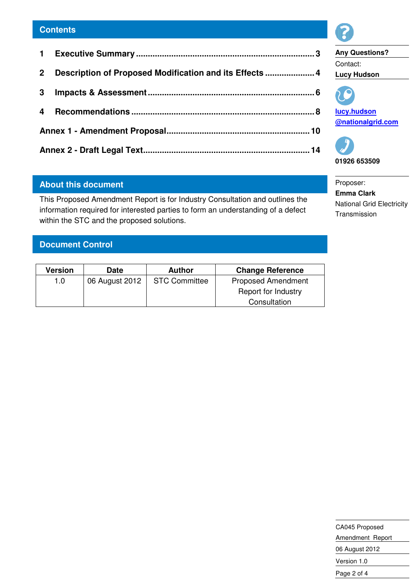| 2 <sup>1</sup> | Description of Proposed Modification and its Effects  4 |  |
|----------------|---------------------------------------------------------|--|
|                |                                                         |  |
|                |                                                         |  |
|                |                                                         |  |
|                |                                                         |  |

#### **About this document**

This Proposed Amendment Report is for Industry Consultation and outlines the information required for interested parties to form an understanding of a defect within the STC and the proposed solutions.

#### **Document Control**

| Version | Date           | <b>Author</b>        | <b>Change Reference</b>   |
|---------|----------------|----------------------|---------------------------|
| 1.0     | 06 August 2012 | <b>STC Committee</b> | <b>Proposed Amendment</b> |
|         |                |                      | Report for Industry       |
|         |                |                      | Consultation              |



**Any Questions?**  Contact: **Lucy Hudson** 



**lucy.hudson @nationalgrid.com** 



Proposer: **Emma Clark**  National Grid Electricity Transmission

CA045 Proposed Amendment Report 06 August 2012 Version 1.0 Page 2 of 4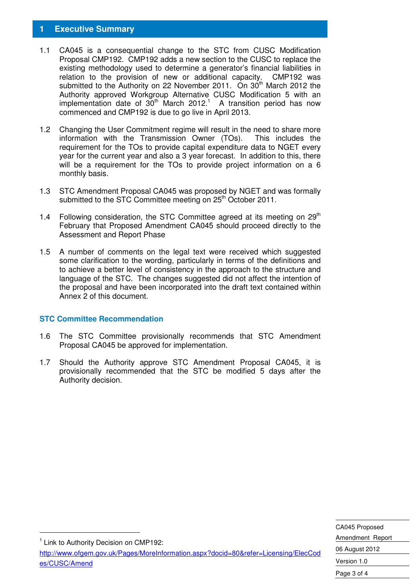#### **1 Executive Summary**

- 1.1 CA045 is a consequential change to the STC from CUSC Modification Proposal CMP192. CMP192 adds a new section to the CUSC to replace the existing methodology used to determine a generator's financial liabilities in relation to the provision of new or additional capacity. CMP192 was submitted to the Authority on 22 November 2011. On 30<sup>th</sup> March 2012 the Authority approved Workgroup Alternative CUSC Modification 5 with an implementation date of  $30<sup>th</sup>$  March 2012.<sup>1</sup> A transition period has now commenced and CMP192 is due to go live in April 2013.
- 1.2 Changing the User Commitment regime will result in the need to share more information with the Transmission Owner (TOs). This includes the requirement for the TOs to provide capital expenditure data to NGET every year for the current year and also a 3 year forecast. In addition to this, there will be a requirement for the TOs to provide project information on a 6 monthly basis.
- 1.3 STC Amendment Proposal CA045 was proposed by NGET and was formally submitted to the STC Committee meeting on 25<sup>th</sup> October 2011.
- 1.4 Following consideration, the STC Committee agreed at its meeting on  $29<sup>th</sup>$ February that Proposed Amendment CA045 should proceed directly to the Assessment and Report Phase
- 1.5 A number of comments on the legal text were received which suggested some clarification to the wording, particularly in terms of the definitions and to achieve a better level of consistency in the approach to the structure and language of the STC. The changes suggested did not affect the intention of the proposal and have been incorporated into the draft text contained within Annex 2 of this document.

#### **STC Committee Recommendation**

- 1.6 The STC Committee provisionally recommends that STC Amendment Proposal CA045 be approved for implementation.
- 1.7 Should the Authority approve STC Amendment Proposal CA045, it is provisionally recommended that the STC be modified 5 days after the Authority decision.

<sup>1</sup> Link to Authority Decision on CMP192:

-

http://www.ofgem.gov.uk/Pages/MoreInformation.aspx?docid=80&refer=Licensing/ElecCod es/CUSC/Amend

CA045 Proposed Amendment Report 06 August 2012 Version 1.0 Page 3 of 4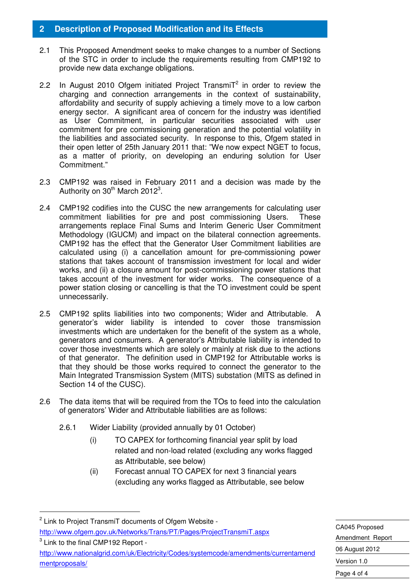#### **2 Description of Proposed Modification and its Effects**

- 2.1 This Proposed Amendment seeks to make changes to a number of Sections of the STC in order to include the requirements resulting from CMP192 to provide new data exchange obligations.
- 2.2 In August 2010 Ofgem initiated Project Transmi $T^2$  in order to review the charging and connection arrangements in the context of sustainability, affordability and security of supply achieving a timely move to a low carbon energy sector. A significant area of concern for the industry was identified as User Commitment, in particular securities associated with user commitment for pre commissioning generation and the potential volatility in the liabilities and associated security. In response to this, Ofgem stated in their open letter of 25th January 2011 that: "We now expect NGET to focus, as a matter of priority, on developing an enduring solution for User Commitment."
- 2.3 CMP192 was raised in February 2011 and a decision was made by the Authority on  $30<sup>th</sup>$  March 2012<sup>3</sup>.
- 2.4 CMP192 codifies into the CUSC the new arrangements for calculating user commitment liabilities for pre and post commissioning Users. These arrangements replace Final Sums and Interim Generic User Commitment Methodology (IGUCM) and impact on the bilateral connection agreements. CMP192 has the effect that the Generator User Commitment liabilities are calculated using (i) a cancellation amount for pre-commissioning power stations that takes account of transmission investment for local and wider works, and (ii) a closure amount for post-commissioning power stations that takes account of the investment for wider works. The consequence of a power station closing or cancelling is that the TO investment could be spent unnecessarily.
- 2.5 CMP192 splits liabilities into two components; Wider and Attributable. A generator's wider liability is intended to cover those transmission investments which are undertaken for the benefit of the system as a whole, generators and consumers. A generator's Attributable liability is intended to cover those investments which are solely or mainly at risk due to the actions of that generator. The definition used in CMP192 for Attributable works is that they should be those works required to connect the generator to the Main Integrated Transmission System (MITS) substation (MITS as defined in Section 14 of the CUSC).
- 2.6 The data items that will be required from the TOs to feed into the calculation of generators' Wider and Attributable liabilities are as follows:
	- 2.6.1 Wider Liability (provided annually by 01 October)
		- (i) TO CAPEX for forthcoming financial year split by load related and non-load related (excluding any works flagged as Attributable, see below)
		- (ii) Forecast annual TO CAPEX for next 3 financial years (excluding any works flagged as Attributable, see below

-

 $3$  Link to the final CMP192 Report http://www.nationalgrid.com/uk/Electricity/Codes/systemcode/amendments/currentamend mentproposals/

CA045 Proposed Amendment Report 06 August 2012 Version 1.0 Page 4 of 4

<sup>&</sup>lt;sup>2</sup> Link to Project TransmiT documents of Ofgem Website http://www.ofgem.gov.uk/Networks/Trans/PT/Pages/ProjectTransmiT.aspx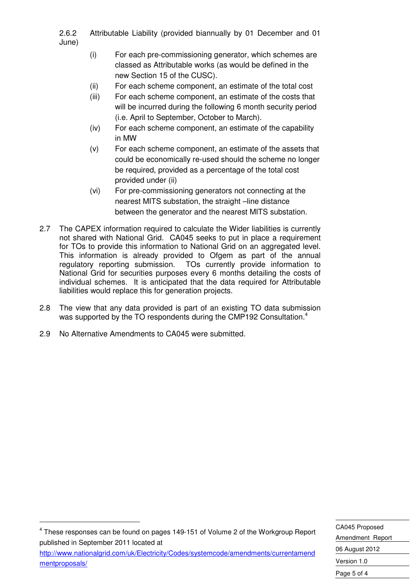2.6.2 Attributable Liability (provided biannually by 01 December and 01 June)

- (i) For each pre-commissioning generator, which schemes are classed as Attributable works (as would be defined in the new Section 15 of the CUSC).
- (ii) For each scheme component, an estimate of the total cost
- (iii) For each scheme component, an estimate of the costs that will be incurred during the following 6 month security period (i.e. April to September, October to March).
- (iv) For each scheme component, an estimate of the capability in MW
- (v) For each scheme component, an estimate of the assets that could be economically re-used should the scheme no longer be required, provided as a percentage of the total cost provided under (ii)
- (vi) For pre-commissioning generators not connecting at the nearest MITS substation, the straight –line distance between the generator and the nearest MITS substation.
- 2.7 The CAPEX information required to calculate the Wider liabilities is currently not shared with National Grid. CA045 seeks to put in place a requirement for TOs to provide this information to National Grid on an aggregated level. This information is already provided to Ofgem as part of the annual regulatory reporting submission. TOs currently provide information to National Grid for securities purposes every 6 months detailing the costs of individual schemes. It is anticipated that the data required for Attributable liabilities would replace this for generation projects.
- 2.8 The view that any data provided is part of an existing TO data submission was supported by the TO respondents during the CMP192 Consultation.<sup>4</sup>
- 2.9 No Alternative Amendments to CA045 were submitted.

-

 $4$  These responses can be found on pages 149-151 of Volume 2 of the Workgroup Report published in September 2011 located at

http://www.nationalgrid.com/uk/Electricity/Codes/systemcode/amendments/currentamend mentproposals/

CA045 Proposed Amendment Report 06 August 2012 Version 1.0 Page 5 of 4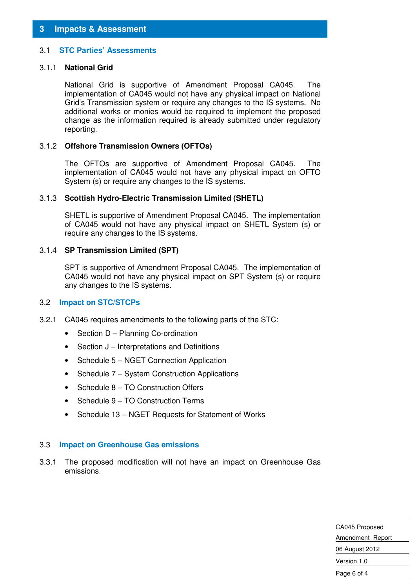#### 3.1 **STC Parties' Assessments**

#### 3.1.1 **National Grid**

National Grid is supportive of Amendment Proposal CA045. The implementation of CA045 would not have any physical impact on National Grid's Transmission system or require any changes to the IS systems. No additional works or monies would be required to implement the proposed change as the information required is already submitted under regulatory reporting.

#### 3.1.2 **Offshore Transmission Owners (OFTOs)**

The OFTOs are supportive of Amendment Proposal CA045. The implementation of CA045 would not have any physical impact on OFTO System (s) or require any changes to the IS systems.

#### 3.1.3 **Scottish Hydro-Electric Transmission Limited (SHETL)**

SHETL is supportive of Amendment Proposal CA045. The implementation of CA045 would not have any physical impact on SHETL System (s) or require any changes to the IS systems.

#### 3.1.4 **SP Transmission Limited (SPT)**

SPT is supportive of Amendment Proposal CA045. The implementation of CA045 would not have any physical impact on SPT System (s) or require any changes to the IS systems.

#### 3.2 **Impact on STC/STCPs**

- 3.2.1 CA045 requires amendments to the following parts of the STC:
	- Section D Planning Co-ordination
	- Section J Interpretations and Definitions
	- Schedule 5 NGET Connection Application
	- Schedule 7 System Construction Applications
	- Schedule 8 TO Construction Offers
	- Schedule 9 TO Construction Terms
	- Schedule 13 NGET Requests for Statement of Works

#### 3.3 **Impact on Greenhouse Gas emissions**

3.3.1 The proposed modification will not have an impact on Greenhouse Gas emissions.

> CA045 Proposed Amendment Report 06 August 2012 Version 1.0 Page 6 of 4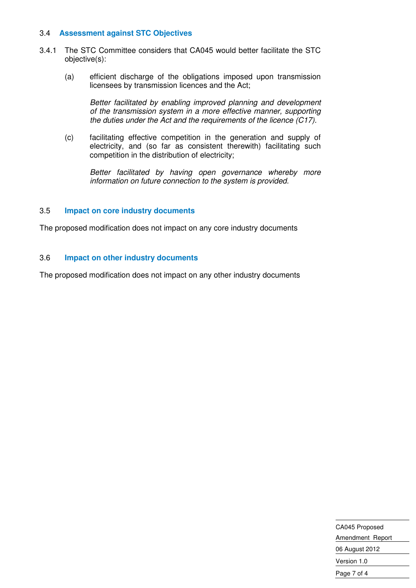#### 3.4 **Assessment against STC Objectives**

- 3.4.1 The STC Committee considers that CA045 would better facilitate the STC objective(s):
	- (a) efficient discharge of the obligations imposed upon transmission licensees by transmission licences and the Act;

Better facilitated by enabling improved planning and development of the transmission system in a more effective manner, supporting the duties under the Act and the requirements of the licence  $(C17)$ .

(c) facilitating effective competition in the generation and supply of electricity, and (so far as consistent therewith) facilitating such competition in the distribution of electricity;

Better facilitated by having open governance whereby more information on future connection to the system is provided.

#### 3.5 **Impact on core industry documents**

The proposed modification does not impact on any core industry documents

#### 3.6 **Impact on other industry documents**

The proposed modification does not impact on any other industry documents

CA045 Proposed Amendment Report 06 August 2012 Version 1.0 Page 7 of 4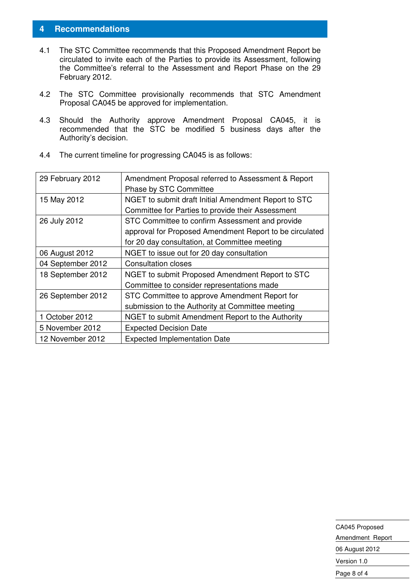#### **4 Recommendations**

- 4.1 The STC Committee recommends that this Proposed Amendment Report be circulated to invite each of the Parties to provide its Assessment, following the Committee's referral to the Assessment and Report Phase on the 29 February 2012.
- 4.2 The STC Committee provisionally recommends that STC Amendment Proposal CA045 be approved for implementation.
- 4.3 Should the Authority approve Amendment Proposal CA045, it is recommended that the STC be modified 5 business days after the Authority's decision.

| 29 February 2012  | Amendment Proposal referred to Assessment & Report      |
|-------------------|---------------------------------------------------------|
|                   | Phase by STC Committee                                  |
| 15 May 2012       | NGET to submit draft Initial Amendment Report to STC    |
|                   | Committee for Parties to provide their Assessment       |
| 26 July 2012      | STC Committee to confirm Assessment and provide         |
|                   | approval for Proposed Amendment Report to be circulated |
|                   | for 20 day consultation, at Committee meeting           |
| 06 August 2012    | NGET to issue out for 20 day consultation               |
| 04 September 2012 | <b>Consultation closes</b>                              |
| 18 September 2012 | NGET to submit Proposed Amendment Report to STC         |
|                   | Committee to consider representations made              |
| 26 September 2012 | STC Committee to approve Amendment Report for           |
|                   | submission to the Authority at Committee meeting        |
| 1 October 2012    | NGET to submit Amendment Report to the Authority        |
| 5 November 2012   | <b>Expected Decision Date</b>                           |
| 12 November 2012  | <b>Expected Implementation Date</b>                     |

4.4 The current timeline for progressing CA045 is as follows:

CA045 Proposed Amendment Report 06 August 2012 Version 1.0 Page 8 of 4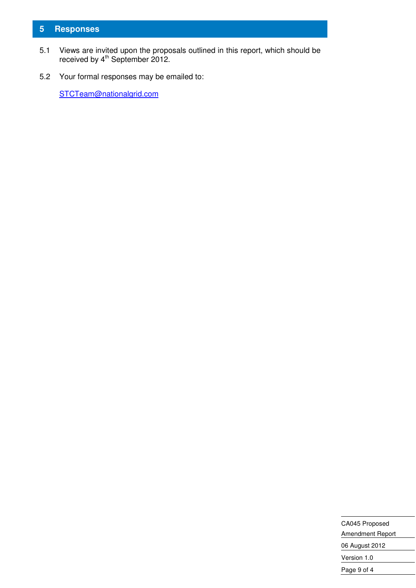#### **5 Responses**

- 5.1 Views are invited upon the proposals outlined in this report, which should be received by 4<sup>th</sup> September 2012.
- 5.2 Your formal responses may be emailed to:

STCTeam@nationalgrid.com

| CA045 Proposed   |  |
|------------------|--|
| Amendment Report |  |
| 06 August 2012   |  |
| Version 1.0      |  |
| Page 9 of 4      |  |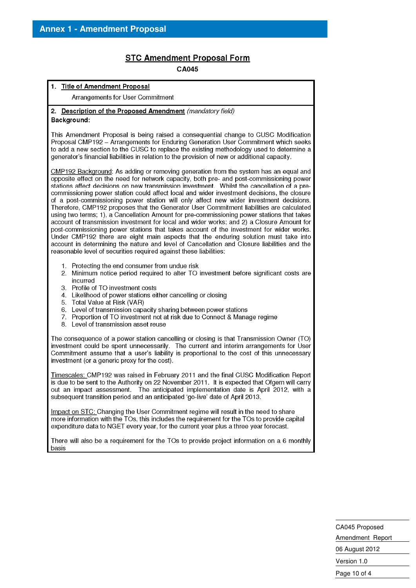#### **STC Amendment Proposal Form**

CA045

#### 1. Title of Amendment Proposal Arrangements for User Commitment 2. Description of the Proposed Amendment (mandatory field) Background: This Amendment Proposal is being raised a consequential change to CUSC Modification Proposal CMP192 - Arrangements for Enduring Generation User Commitment which seeks to add a new section to the CUSC to replace the existing methodology used to determine a generator's financial liabilities in relation to the provision of new or additional capacity. CMP192 Background: As adding or removing generation from the system has an equal and opposite effect on the need for network capacity, both pre- and post-commissioning power stations affect decisions on new transmission investment. Whilst the cancellation of a precommissioning power station could affect local and wider investment decisions, the closure of a post-commissioning power station will only affect new wider investment decisions. Therefore, CMP192 proposes that the Generator User Commitment liabilities are calculated using two terms; 1), a Cancellation Amount for pre-commissioning power stations that takes account of transmission investment for local and wider works: and 2) a Closure Amount for post-commissioning power stations that takes account of the investment for wider works. Under CMP192 there are eight main aspects that the enduring solution must take into account in determining the nature and level of Cancellation and Closure liabilities and the reasonable level of securities required against these liabilities: 1. Protecting the end consumer from undue risk 2. Minimum notice period required to alter TO investment before significant costs are incurred 3. Profile of TO investment costs 4. Likelihood of power stations either cancelling or closing 5. Total Value at Risk (VAR) Level of transmission capacity sharing between power stations 6. 7. Proportion of TO investment not at risk due to Connect & Manage regime 8. Level of transmission asset reuse The consequence of a power station cancelling or closing is that Transmission Owner (TO) investment could be spent unnecessarily. The current and interim arrangements for User Commitment assume that a user's liability is proportional to the cost of this unnecessary investment (or a generic proxy for the cost). Timescales: CMP192 was raised in February 2011 and the final CUSC Modification Report is due to be sent to the Authority on 22 November 2011. It is expected that Ofgem will carry out an impact assessment. The anticipated implementation date is April 2012, with a subsequent transition period and an anticipated 'go-live' date of April 2013. Impact on STC; Changing the User Commitment regime will result in the need to share more information with the TOs, this includes the requirement for the TOs to provide capital expenditure data to NGET every year, for the current year plus a three year forecast. There will also be a requirement for the TOs to provide project information on a 6 monthly basis

CA045 Proposed Amendment Report 06 August 2012 Version 1.0 Page 10 of 4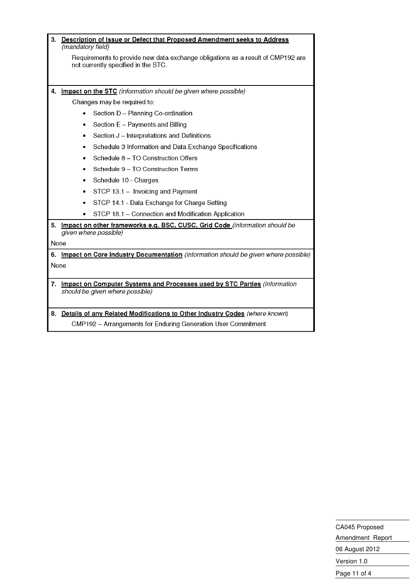| 3.         | (mandatory field) | Description of Issue or Defect that Proposed Amendment seeks to Address                                                |
|------------|-------------------|------------------------------------------------------------------------------------------------------------------------|
|            |                   | Requirements to provide new data exchange obligations as a result of CMP192 are<br>not currently specified in the STC. |
|            |                   |                                                                                                                        |
| 4.         |                   | Impact on the STC (information should be given where possible)                                                         |
|            |                   | Changes may be required to:                                                                                            |
|            |                   | Section D - Planning Co-ordination                                                                                     |
|            | ٠                 | Section E - Payments and Billing                                                                                       |
|            | ٠                 | Section J - Interpretations and Definitions                                                                            |
|            | ٠                 | Schedule 3 Information and Data Exchange Specifications                                                                |
|            |                   | Schedule 8 - TO Construction Offers                                                                                    |
|            |                   | Schedule 9 - TO Construction Terms                                                                                     |
|            | ٠                 | Schedule 10 - Charges                                                                                                  |
|            | ٠                 | STCP 13.1 - Invoicing and Payment                                                                                      |
|            | ٠                 | STCP 14.1 - Data Exchange for Charge Setting                                                                           |
|            |                   | STCP 18.1 - Connection and Modification Application                                                                    |
| 5.         |                   | Impact on other frameworks e.g. BSC, CUSC, Grid Code (information should be                                            |
|            |                   | given where possible)                                                                                                  |
| None       |                   |                                                                                                                        |
| 6.<br>None |                   | Impact on Core Industry Documentation (information should be given where possible)                                     |
|            |                   |                                                                                                                        |
| 7.         |                   | Impact on Computer Systems and Processes used by STC Parties (information<br>should be given where possible)           |
|            |                   | 8. Details of any Related Modifications to Other Industry Codes (where known)                                          |
|            |                   | CMP192 - Arrangements for Enduring Generation User Commitment                                                          |

CA045 Proposed Amendment Report 06 August 2012 Version 1.0 Page 11 of 4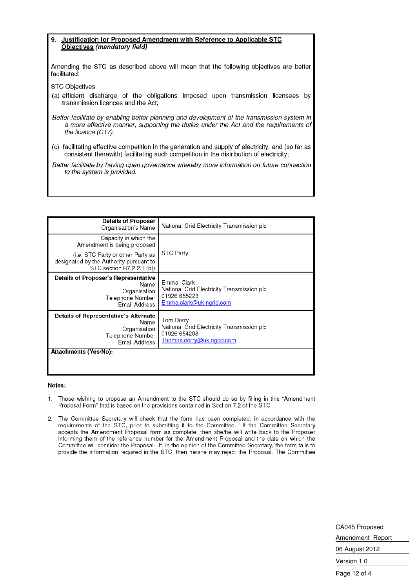#### Justification for Proposed Amendment with Reference to Applicable STC 9. Objectives (mandatory field)

Amending the STC as described above will mean that the following objectives are better facilitated:

**STC Objectives** 

(a) efficient discharge of the obligations imposed upon transmission licensees by transmission licences and the Act;

Better facilitate by enabling better planning and development of the transmission system in a more effective manner, supporting the duties under the Act and the requirements of the licence (C17).

(c) facilitating effective competition in the generation and supply of electricity, and (so far as consistent therewith) facilitating such competition in the distribution of electricity;

Better facilitate by having open governance whereby more information on future connection to the system is provided.

| <b>Details of Proposer</b><br>Organisation's Name                                                               | National Grid Electricity Transmission plc                                                           |
|-----------------------------------------------------------------------------------------------------------------|------------------------------------------------------------------------------------------------------|
| Capacity in which the<br>Amendment is being proposed                                                            |                                                                                                      |
| (i.e. STC Party or other Party as<br>designated by the Authority pursuant to<br>STC section B7.2.2.1 (b))       | <b>STC Party</b>                                                                                     |
| <b>Details of Proposer's Representative</b><br>Name<br>Organisation<br>Telephone Number<br><b>Email Address</b> | Emma Clark<br>National Grid Electricity Transmission plc<br>01926 655223<br>Emma.clark@uk.ngrid.com  |
| Details of Representative's Alternate<br>Name<br>Organisation<br>Telephone Number<br>Email Address              | Tom Derry<br>National Grid Electricity Transmission plc<br>01926 654208<br>Thomas.derry@uk.ngrid.com |
| Attachments (Yes/No):                                                                                           |                                                                                                      |

#### Notes:

- Those wishing to propose an Amendment to the STC should do so by filling in this "Amendment  $\mathbf{1}$ Proposal Form" that is based on the provisions contained in Section 7.2 of the STC.
- 2. The Committee Secretary will check that the form has been completed, in accordance with the requirements of the STC, prior to submitting it to the Committee. If the Committee Secretary accepts the Amendment Proposal form as complete, then she/he will write back to the Proposer informing them of the reference number for the Amendment Proposal and the date on which the Committee will consider the Proposal. If, in the opinion of the Committee Secretary, the form fails to provide the information required in the STC, then he/she may reject the Proposal. The Committee

CA045 Proposed Amendment Report 06 August 2012 Version 1.0 Page 12 of 4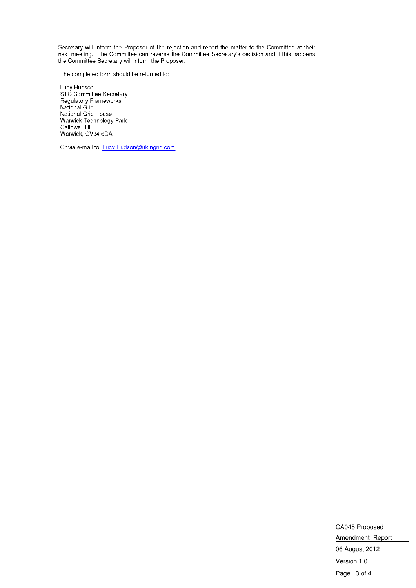Secretary will inform the Proposer of the rejection and report the matter to the Committee at their next meeting. The Committee can reverse the Committee Secretary's decision and if this happens<br>the Committee Secretary will inform the Proposer.

The completed form should be returned to:

Lucy Hudson<br>STC Committee Secretary<br>Regulatory Frameworks<br>National Grid National Grid House Warwick Technology Park **Gallows Hill** Warwick, CV34 6DA

Or via e-mail to: Lucy.Hudson@uk.ngrid.com

CA045 Proposed Amendment Report 06 August 2012 Version 1.0 Page 13 of 4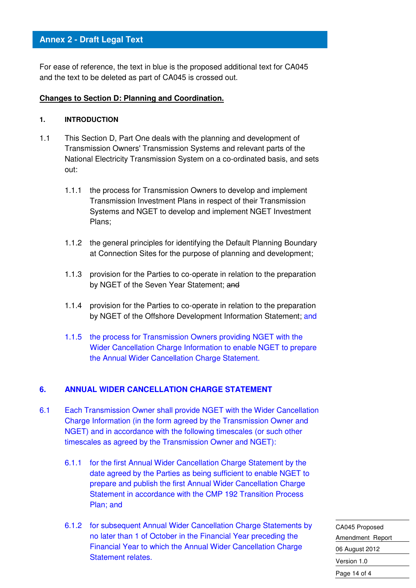For ease of reference, the text in blue is the proposed additional text for CA045 and the text to be deleted as part of CA045 is crossed out.

#### **Changes to Section D: Planning and Coordination.**

#### **1. INTRODUCTION**

- 1.1 This Section D, Part One deals with the planning and development of Transmission Owners' Transmission Systems and relevant parts of the National Electricity Transmission System on a co-ordinated basis, and sets out:
	- 1.1.1 the process for Transmission Owners to develop and implement Transmission Investment Plans in respect of their Transmission Systems and NGET to develop and implement NGET Investment Plans;
	- 1.1.2 the general principles for identifying the Default Planning Boundary at Connection Sites for the purpose of planning and development;
	- 1.1.3 provision for the Parties to co-operate in relation to the preparation by NGET of the Seven Year Statement; and
	- 1.1.4 provision for the Parties to co-operate in relation to the preparation by NGET of the Offshore Development Information Statement; and
	- 1.1.5 the process for Transmission Owners providing NGET with the Wider Cancellation Charge Information to enable NGET to prepare the Annual Wider Cancellation Charge Statement.

#### **6. ANNUAL WIDER CANCELLATION CHARGE STATEMENT**

- 6.1 Each Transmission Owner shall provide NGET with the Wider Cancellation Charge Information (in the form agreed by the Transmission Owner and NGET) and in accordance with the following timescales (or such other timescales as agreed by the Transmission Owner and NGET):
	- 6.1.1 for the first Annual Wider Cancellation Charge Statement by the date agreed by the Parties as being sufficient to enable NGET to prepare and publish the first Annual Wider Cancellation Charge Statement in accordance with the CMP 192 Transition Process Plan; and
	- 6.1.2 for subsequent Annual Wider Cancellation Charge Statements by no later than 1 of October in the Financial Year preceding the Financial Year to which the Annual Wider Cancellation Charge Statement relates.

CA045 Proposed Amendment Report 06 August 2012 Version 1.0 Page 14 of 4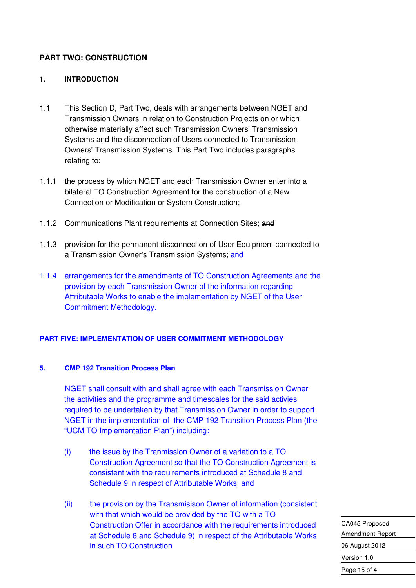#### **PART TWO: CONSTRUCTION**

#### **1. INTRODUCTION**

- 1.1 This Section D, Part Two, deals with arrangements between NGET and Transmission Owners in relation to Construction Projects on or which otherwise materially affect such Transmission Owners' Transmission Systems and the disconnection of Users connected to Transmission Owners' Transmission Systems. This Part Two includes paragraphs relating to:
- 1.1.1 the process by which NGET and each Transmission Owner enter into a bilateral TO Construction Agreement for the construction of a New Connection or Modification or System Construction;
- 1.1.2 Communications Plant requirements at Connection Sites; and
- 1.1.3 provision for the permanent disconnection of User Equipment connected to a Transmission Owner's Transmission Systems; and
- 1.1.4 arrangements for the amendments of TO Construction Agreements and the provision by each Transmission Owner of the information regarding Attributable Works to enable the implementation by NGET of the User Commitment Methodology.

#### **PART FIVE: IMPLEMENTATION OF USER COMMITMENT METHODOLOGY**

#### **5. CMP 192 Transition Process Plan**

NGET shall consult with and shall agree with each Transmission Owner the activities and the programme and timescales for the said activies required to be undertaken by that Transmission Owner in order to support NGET in the implementation of the CMP 192 Transition Process Plan (the "UCM TO Implementation Plan") including:

- (i) the issue by the Tranmission Owner of a variation to a TO Construction Agreement so that the TO Construction Agreement is consistent with the requirements introduced at Schedule 8 and Schedule 9 in respect of Attributable Works; and
- (ii) the provision by the Transmisison Owner of information (consistent with that which would be provided by the TO with a TO Construction Offer in accordance with the requirements introduced at Schedule 8 and Schedule 9) in respect of the Attributable Works in such TO Construction

CA045 Proposed Amendment Report 06 August 2012 Version 1.0 Page 15 of 4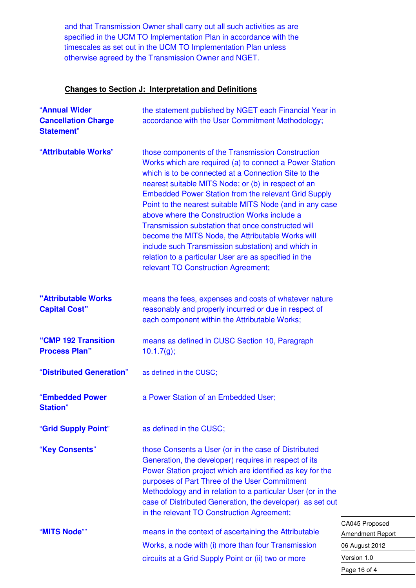and that Transmission Owner shall carry out all such activities as are specified in the UCM TO Implementation Plan in accordance with the timescales as set out in the UCM TO Implementation Plan unless otherwise agreed by the Transmission Owner and NGET.

#### **Changes to Section J: Interpretation and Definitions**

| "Annual Wider<br><b>Cancellation Charge</b><br><b>Statement</b> " | the statement published by NGET each Financial Year in<br>accordance with the User Commitment Methodology;                                                                                                                                                                                                                                                                                                                                                                                                                                                                                                                                                              |
|-------------------------------------------------------------------|-------------------------------------------------------------------------------------------------------------------------------------------------------------------------------------------------------------------------------------------------------------------------------------------------------------------------------------------------------------------------------------------------------------------------------------------------------------------------------------------------------------------------------------------------------------------------------------------------------------------------------------------------------------------------|
| "Attributable Works"                                              | those components of the Transmission Construction<br>Works which are required (a) to connect a Power Station<br>which is to be connected at a Connection Site to the<br>nearest suitable MITS Node; or (b) in respect of an<br><b>Embedded Power Station from the relevant Grid Supply</b><br>Point to the nearest suitable MITS Node (and in any case<br>above where the Construction Works include a<br>Transmission substation that once constructed will<br>become the MITS Node, the Attributable Works will<br>include such Transmission substation) and which in<br>relation to a particular User are as specified in the<br>relevant TO Construction Agreement; |
| "Attributable Works<br><b>Capital Cost"</b>                       | means the fees, expenses and costs of whatever nature<br>reasonably and properly incurred or due in respect of<br>each component within the Attributable Works;                                                                                                                                                                                                                                                                                                                                                                                                                                                                                                         |
| "CMP 192 Transition<br><b>Process Plan"</b>                       | means as defined in CUSC Section 10, Paragraph<br>10.1.7(g);                                                                                                                                                                                                                                                                                                                                                                                                                                                                                                                                                                                                            |
| "Distributed Generation"                                          | as defined in the CUSC;                                                                                                                                                                                                                                                                                                                                                                                                                                                                                                                                                                                                                                                 |
| "Embedded Power<br><b>Station</b> "                               | a Power Station of an Embedded User;                                                                                                                                                                                                                                                                                                                                                                                                                                                                                                                                                                                                                                    |
| "Grid Supply Point"                                               | as defined in the CUSC;                                                                                                                                                                                                                                                                                                                                                                                                                                                                                                                                                                                                                                                 |
| "Key Consents"                                                    | those Consents a User (or in the case of Distributed<br>Generation, the developer) requires in respect of its<br>Power Station project which are identified as key for the<br>purposes of Part Three of the User Commitment<br>Methodology and in relation to a particular User (or in the<br>case of Distributed Generation, the developer) as set out<br>in the relevant TO Construction Agreement;                                                                                                                                                                                                                                                                   |
| "MITS Node""                                                      | C<br>means in the context of ascertaining the Attributable<br>Ar<br>Works, a node with (i) more than four Transmission<br>06<br>circuits at a Grid Supply Point or (ii) two or more<br>V٤                                                                                                                                                                                                                                                                                                                                                                                                                                                                               |
|                                                                   |                                                                                                                                                                                                                                                                                                                                                                                                                                                                                                                                                                                                                                                                         |

A045 Proposed mendment Report 06 August 2012 ersion 1.0 Page 16 of 4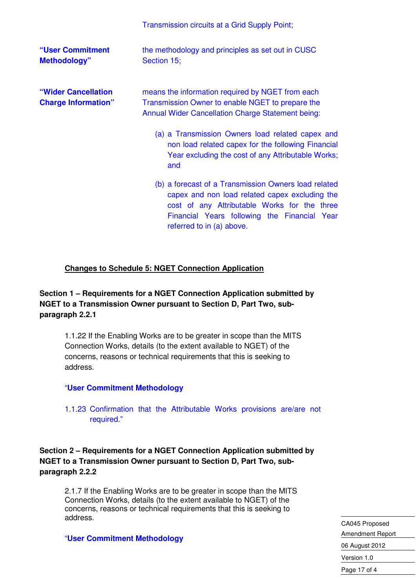|                                                   | Transmission circuits at a Grid Supply Point;                                                                                                                                                                                       |
|---------------------------------------------------|-------------------------------------------------------------------------------------------------------------------------------------------------------------------------------------------------------------------------------------|
| "User Commitment<br><b>Methodology"</b>           | the methodology and principles as set out in CUSC<br>Section 15;                                                                                                                                                                    |
| "Wider Cancellation<br><b>Charge Information"</b> | means the information required by NGET from each<br>Transmission Owner to enable NGET to prepare the<br><b>Annual Wider Cancellation Charge Statement being:</b>                                                                    |
|                                                   | (a) a Transmission Owners load related capex and<br>non load related capex for the following Financial<br>Year excluding the cost of any Attributable Works;<br>and                                                                 |
|                                                   | (b) a forecast of a Transmission Owners load related<br>capex and non load related capex excluding the<br>cost of any Attributable Works for the three<br>Financial Years following the Financial Year<br>referred to in (a) above. |

#### **Changes to Schedule 5: NGET Connection Application**

#### **Section 1 – Requirements for a NGET Connection Application submitted by NGET to a Transmission Owner pursuant to Section D, Part Two, subparagraph 2.2.1**

1.1.22 If the Enabling Works are to be greater in scope than the MITS Connection Works, details (to the extent available to NGET) of the concerns, reasons or technical requirements that this is seeking to address.

#### "**User Commitment Methodology**

1.1.23 Confirmation that the Attributable Works provisions are/are not required."

**Section 2 – Requirements for a NGET Connection Application submitted by NGET to a Transmission Owner pursuant to Section D, Part Two, subparagraph 2.2.2** 

2.1.7 If the Enabling Works are to be greater in scope than the MITS Connection Works, details (to the extent available to NGET) of the concerns, reasons or technical requirements that this is seeking to address.

"**User Commitment Methodology**

CA045 Proposed Amendment Report 06 August 2012 Version 1.0 Page 17 of 4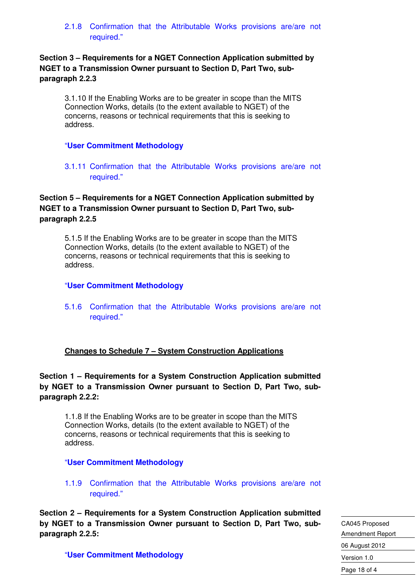2.1.8 Confirmation that the Attributable Works provisions are/are not required."

**Section 3 – Requirements for a NGET Connection Application submitted by NGET to a Transmission Owner pursuant to Section D, Part Two, subparagraph 2.2.3** 

3.1.10 If the Enabling Works are to be greater in scope than the MITS Connection Works, details (to the extent available to NGET) of the concerns, reasons or technical requirements that this is seeking to address.

#### "**User Commitment Methodology**

3.1.11 Confirmation that the Attributable Works provisions are/are not required."

#### **Section 5 – Requirements for a NGET Connection Application submitted by NGET to a Transmission Owner pursuant to Section D, Part Two, subparagraph 2.2.5**

5.1.5 If the Enabling Works are to be greater in scope than the MITS Connection Works, details (to the extent available to NGET) of the concerns, reasons or technical requirements that this is seeking to address.

#### "**User Commitment Methodology**

5.1.6 Confirmation that the Attributable Works provisions are/are not required."

#### **Changes to Schedule 7 – System Construction Applications**

#### **Section 1 – Requirements for a System Construction Application submitted by NGET to a Transmission Owner pursuant to Section D, Part Two, subparagraph 2.2.2:**

1.1.8 If the Enabling Works are to be greater in scope than the MITS Connection Works, details (to the extent available to NGET) of the concerns, reasons or technical requirements that this is seeking to address.

#### "**User Commitment Methodology**

1.1.9 Confirmation that the Attributable Works provisions are/are not required."

**Section 2 – Requirements for a System Construction Application submitted by NGET to a Transmission Owner pursuant to Section D, Part Two, subparagraph 2.2.5:** 

CA045 Proposed Amendment Report 06 August 2012 Version 1.0 Page 18 of 4

"**User Commitment Methodology**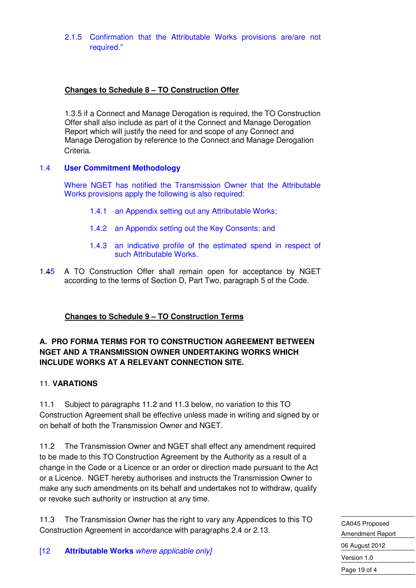2.1.5 Confirmation that the Attributable Works provisions are/are not required."

#### **Changes to Schedule 8 – TO Construction Offer**

1.3.5 if a Connect and Manage Derogation is required, the TO Construction Offer shall also include as part of it the Connect and Manage Derogation Report which will justify the need for and scope of any Connect and Manage Derogation by reference to the Connect and Manage Derogation Criteria.

#### 1.4 **User Commitment Methodology**

 Where NGET has notified the Transmission Owner that the Attributable Works provisions apply the following is also required:

- 1.4.1 an Appendix setting out any Attributable Works;
- 1.4.2 an Appendix setting out the Key Consents; and
- 1.4.3 an indicative profile of the estimated spend in respect of such Attributable Works.
- 1.45 A TO Construction Offer shall remain open for acceptance by NGET according to the terms of Section D, Part Two, paragraph 5 of the Code.

#### **Changes to Schedule 9 – TO Construction Terms**

#### **A. PRO FORMA TERMS FOR TO CONSTRUCTION AGREEMENT BETWEEN NGET AND A TRANSMISSION OWNER UNDERTAKING WORKS WHICH INCLUDE WORKS AT A RELEVANT CONNECTION SITE.**

#### 11. **VARATIONS**

11.1 Subject to paragraphs 11.2 and 11.3 below, no variation to this TO Construction Agreement shall be effective unless made in writing and signed by or on behalf of both the Transmission Owner and NGET.

11.2 The Transmission Owner and NGET shall effect any amendment required to be made to this TO Construction Agreement by the Authority as a result of a change in the Code or a Licence or an order or direction made pursuant to the Act or a Licence. NGET hereby authorises and instructs the Transmission Owner to make any such amendments on its behalf and undertakes not to withdraw, qualify or revoke such authority or instruction at any time.

11.3 The Transmission Owner has the right to vary any Appendices to this TO Construction Agreement in accordance with paragraphs 2.4 or 2.13.

CA045 Proposed Amendment Report 06 August 2012 Version 1.0 Page 19 of 4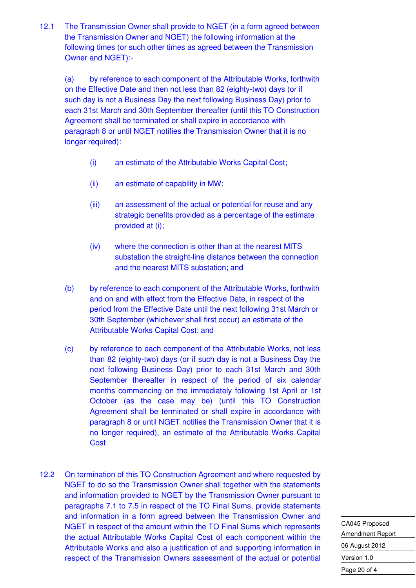12.1 The Transmission Owner shall provide to NGET (in a form agreed between the Transmission Owner and NGET) the following information at the following times (or such other times as agreed between the Transmission Owner and NGET):-

(a) by reference to each component of the Attributable Works, forthwith on the Effective Date and then not less than 82 (eighty-two) days (or if such day is not a Business Day the next following Business Day) prior to each 31st March and 30th September thereafter (until this TO Construction Agreement shall be terminated or shall expire in accordance with paragraph 8 or until NGET notifies the Transmission Owner that it is no longer required):

- (i) an estimate of the Attributable Works Capital Cost;
- (ii) an estimate of capability in MW;
- (iii) an assessment of the actual or potential for reuse and any strategic benefits provided as a percentage of the estimate provided at (i);
- (iv) where the connection is other than at the nearest MITS substation the straight-line distance between the connection and the nearest MITS substation; and
- (b) by reference to each component of the Attributable Works, forthwith and on and with effect from the Effective Date, in respect of the period from the Effective Date until the next following 31st March or 30th September (whichever shall first occur) an estimate of the Attributable Works Capital Cost; and
- (c) by reference to each component of the Attributable Works, not less than 82 (eighty-two) days (or if such day is not a Business Day the next following Business Day) prior to each 31st March and 30th September thereafter in respect of the period of six calendar months commencing on the immediately following 1st April or 1st October (as the case may be) (until this TO Construction Agreement shall be terminated or shall expire in accordance with paragraph 8 or until NGET notifies the Transmission Owner that it is no longer required), an estimate of the Attributable Works Capital **Cost**
- 12.2 On termination of this TO Construction Agreement and where requested by NGET to do so the Transmission Owner shall together with the statements and information provided to NGET by the Transmission Owner pursuant to paragraphs 7.1 to 7.5 in respect of the TO Final Sums, provide statements and information in a form agreed between the Transmission Owner and NGET in respect of the amount within the TO Final Sums which represents the actual Attributable Works Capital Cost of each component within the Attributable Works and also a justification of and supporting information in respect of the Transmission Owners assessment of the actual or potential

CA045 Proposed Amendment Report 06 August 2012 Version 1.0 Page 20 of 4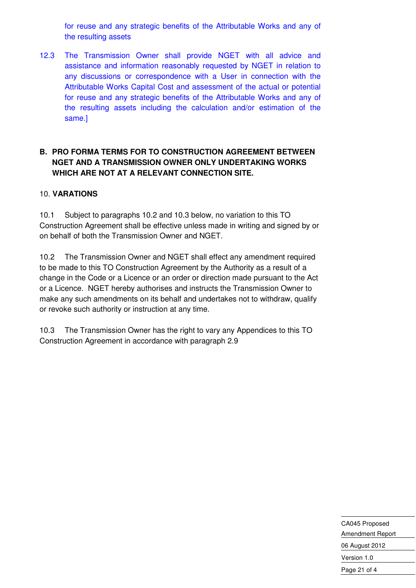for reuse and any strategic benefits of the Attributable Works and any of the resulting assets

12.3 The Transmission Owner shall provide NGET with all advice and assistance and information reasonably requested by NGET in relation to any discussions or correspondence with a User in connection with the Attributable Works Capital Cost and assessment of the actual or potential for reuse and any strategic benefits of the Attributable Works and any of the resulting assets including the calculation and/or estimation of the same.]

#### **B. PRO FORMA TERMS FOR TO CONSTRUCTION AGREEMENT BETWEEN NGET AND A TRANSMISSION OWNER ONLY UNDERTAKING WORKS WHICH ARE NOT AT A RELEVANT CONNECTION SITE.**

#### 10. **VARATIONS**

10.1 Subject to paragraphs 10.2 and 10.3 below, no variation to this TO Construction Agreement shall be effective unless made in writing and signed by or on behalf of both the Transmission Owner and NGET.

10.2 The Transmission Owner and NGET shall effect any amendment required to be made to this TO Construction Agreement by the Authority as a result of a change in the Code or a Licence or an order or direction made pursuant to the Act or a Licence. NGET hereby authorises and instructs the Transmission Owner to make any such amendments on its behalf and undertakes not to withdraw, qualify or revoke such authority or instruction at any time.

10.3 The Transmission Owner has the right to vary any Appendices to this TO Construction Agreement in accordance with paragraph 2.9

> CA045 Proposed Amendment Report 06 August 2012 Version 1.0 Page 21 of 4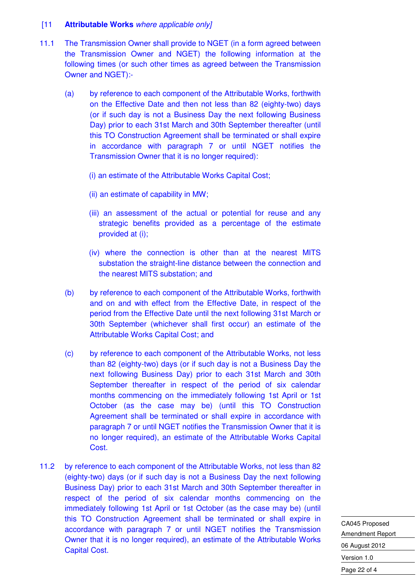#### [11 **Attributable Works** where applicable only]

- 11.1 The Transmission Owner shall provide to NGET (in a form agreed between the Transmission Owner and NGET) the following information at the following times (or such other times as agreed between the Transmission Owner and NGET):-
	- (a) by reference to each component of the Attributable Works, forthwith on the Effective Date and then not less than 82 (eighty-two) days (or if such day is not a Business Day the next following Business Day) prior to each 31st March and 30th September thereafter (until this TO Construction Agreement shall be terminated or shall expire in accordance with paragraph 7 or until NGET notifies the Transmission Owner that it is no longer required):
		- (i) an estimate of the Attributable Works Capital Cost;
		- (ii) an estimate of capability in MW;
		- (iii) an assessment of the actual or potential for reuse and any strategic benefits provided as a percentage of the estimate provided at (i);
		- (iv) where the connection is other than at the nearest MITS substation the straight-line distance between the connection and the nearest MITS substation; and
	- (b) by reference to each component of the Attributable Works, forthwith and on and with effect from the Effective Date, in respect of the period from the Effective Date until the next following 31st March or 30th September (whichever shall first occur) an estimate of the Attributable Works Capital Cost; and
	- (c) by reference to each component of the Attributable Works, not less than 82 (eighty-two) days (or if such day is not a Business Day the next following Business Day) prior to each 31st March and 30th September thereafter in respect of the period of six calendar months commencing on the immediately following 1st April or 1st October (as the case may be) (until this TO Construction Agreement shall be terminated or shall expire in accordance with paragraph 7 or until NGET notifies the Transmission Owner that it is no longer required), an estimate of the Attributable Works Capital Cost.
- 11.2 by reference to each component of the Attributable Works, not less than 82 (eighty-two) days (or if such day is not a Business Day the next following Business Day) prior to each 31st March and 30th September thereafter in respect of the period of six calendar months commencing on the immediately following 1st April or 1st October (as the case may be) (until this TO Construction Agreement shall be terminated or shall expire in accordance with paragraph 7 or until NGET notifies the Transmission Owner that it is no longer required), an estimate of the Attributable Works Capital Cost.

CA045 Proposed Amendment Report 06 August 2012 Version 1.0 Page 22 of 4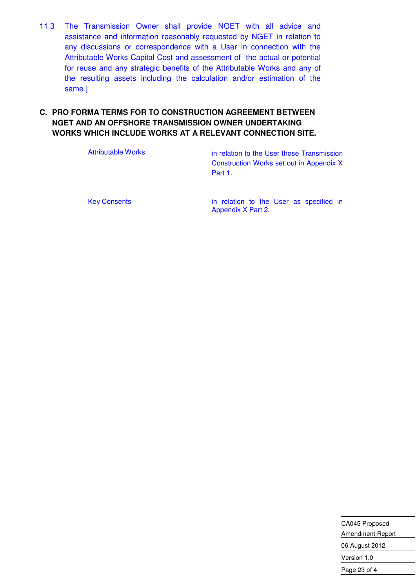11.3 The Transmission Owner shall provide NGET with all advice and assistance and information reasonably requested by NGET in relation to any discussions or correspondence with a User in connection with the Attributable Works Capital Cost and assessment of the actual or potential for reuse and any strategic benefits of the Attributable Works and any of the resulting assets including the calculation and/or estimation of the same.]

#### **C. PRO FORMA TERMS FOR TO CONSTRUCTION AGREEMENT BETWEEN NGET AND AN OFFSHORE TRANSMISSION OWNER UNDERTAKING WORKS WHICH INCLUDE WORKS AT A RELEVANT CONNECTION SITE.**

Attributable Works **in relation to the User those Transmission** Construction Works set out in Appendix X Part 1.

Key Consents **in relation to the User as specified in** Appendix X Part 2.

> CA045 Proposed Amendment Report 06 August 2012 Version 1.0 Page 23 of 4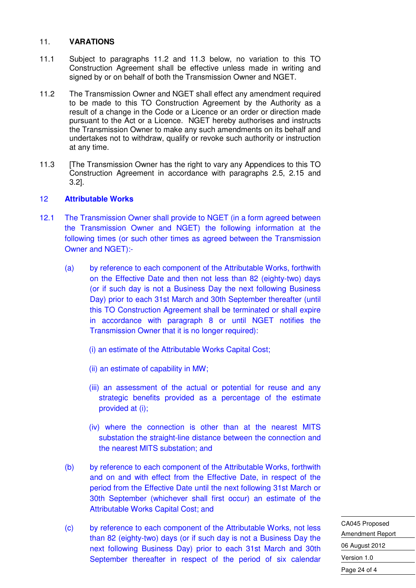#### 11. **VARATIONS**

- 11.1 Subject to paragraphs 11.2 and 11.3 below, no variation to this TO Construction Agreement shall be effective unless made in writing and signed by or on behalf of both the Transmission Owner and NGET.
- 11.2 The Transmission Owner and NGET shall effect any amendment required to be made to this TO Construction Agreement by the Authority as a result of a change in the Code or a Licence or an order or direction made pursuant to the Act or a Licence. NGET hereby authorises and instructs the Transmission Owner to make any such amendments on its behalf and undertakes not to withdraw, qualify or revoke such authority or instruction at any time.
- 11.3 **IThe Transmission Owner has the right to vary any Appendices to this TO** Construction Agreement in accordance with paragraphs 2.5, 2.15 and 3.2].

#### 12 **Attributable Works**

- 12.1 The Transmission Owner shall provide to NGET (in a form agreed between the Transmission Owner and NGET) the following information at the following times (or such other times as agreed between the Transmission Owner and NGET):-
	- (a) by reference to each component of the Attributable Works, forthwith on the Effective Date and then not less than 82 (eighty-two) days (or if such day is not a Business Day the next following Business Day) prior to each 31st March and 30th September thereafter (until this TO Construction Agreement shall be terminated or shall expire in accordance with paragraph 8 or until NGET notifies the Transmission Owner that it is no longer required):
		- (i) an estimate of the Attributable Works Capital Cost;
		- (ii) an estimate of capability in MW;
		- (iii) an assessment of the actual or potential for reuse and any strategic benefits provided as a percentage of the estimate provided at (i);
		- (iv) where the connection is other than at the nearest MITS substation the straight-line distance between the connection and the nearest MITS substation; and
	- (b) by reference to each component of the Attributable Works, forthwith and on and with effect from the Effective Date, in respect of the period from the Effective Date until the next following 31st March or 30th September (whichever shall first occur) an estimate of the Attributable Works Capital Cost; and
	- (c) by reference to each component of the Attributable Works, not less than 82 (eighty-two) days (or if such day is not a Business Day the next following Business Day) prior to each 31st March and 30th September thereafter in respect of the period of six calendar

CA045 Proposed Amendment Report 06 August 2012 Version 1.0 Page 24 of 4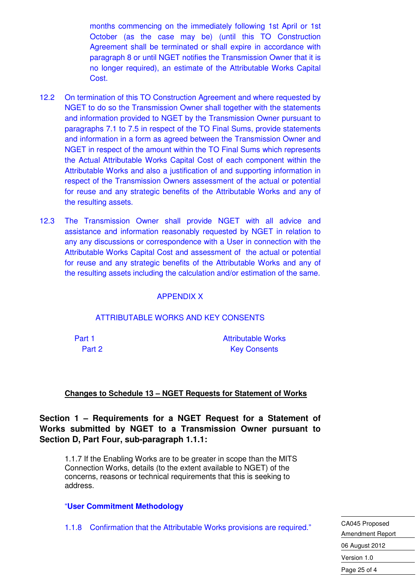months commencing on the immediately following 1st April or 1st October (as the case may be) (until this TO Construction Agreement shall be terminated or shall expire in accordance with paragraph 8 or until NGET notifies the Transmission Owner that it is no longer required), an estimate of the Attributable Works Capital Cost.

- 12.2 On termination of this TO Construction Agreement and where requested by NGET to do so the Transmission Owner shall together with the statements and information provided to NGET by the Transmission Owner pursuant to paragraphs 7.1 to 7.5 in respect of the TO Final Sums, provide statements and information in a form as agreed between the Transmission Owner and NGET in respect of the amount within the TO Final Sums which represents the Actual Attributable Works Capital Cost of each component within the Attributable Works and also a justification of and supporting information in respect of the Transmission Owners assessment of the actual or potential for reuse and any strategic benefits of the Attributable Works and any of the resulting assets.
- 12.3 The Transmission Owner shall provide NGET with all advice and assistance and information reasonably requested by NGET in relation to any any discussions or correspondence with a User in connection with the Attributable Works Capital Cost and assessment of the actual or potential for reuse and any strategic benefits of the Attributable Works and any of the resulting assets including the calculation and/or estimation of the same.

#### APPENDIX X

#### ATTRIBUTABLE WORKS AND KEY CONSENTS

Part 1 Attributable Works Part 2 Key Consents

#### **Changes to Schedule 13 – NGET Requests for Statement of Works**

**Section 1 – Requirements for a NGET Request for a Statement of Works submitted by NGET to a Transmission Owner pursuant to Section D, Part Four, sub-paragraph 1.1.1:** 

1.1.7 If the Enabling Works are to be greater in scope than the MITS Connection Works, details (to the extent available to NGET) of the concerns, reasons or technical requirements that this is seeking to address.

#### "**User Commitment Methodology**

1.1.8 Confirmation that the Attributable Works provisions are required."

CA045 Proposed Amendment Report 06 August 2012 Version 1.0 Page 25 of 4